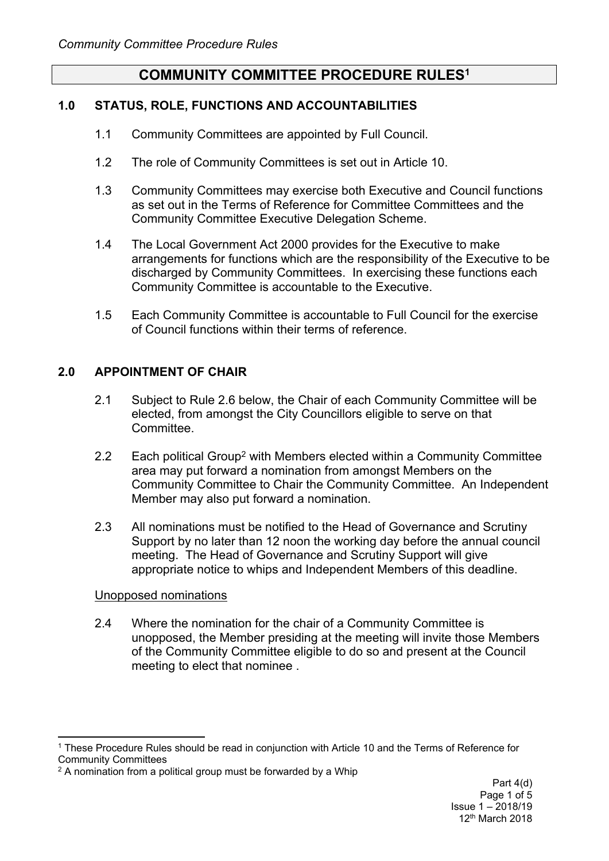# **COMMUNITY COMMITTEE PROCEDURE RULES<sup>1</sup>**

## **1.0 STATUS, ROLE, FUNCTIONS AND ACCOUNTABILITIES**

- 1.1 Community Committees are appointed by Full Council.
- 1.2 The role of Community Committees is set out in Article 10.
- 1.3 Community Committees may exercise both Executive and Council functions as set out in the Terms of Reference for Committee Committees and the Community Committee Executive Delegation Scheme.
- 1.4 The Local Government Act 2000 provides for the Executive to make arrangements for functions which are the responsibility of the Executive to be discharged by Community Committees. In exercising these functions each Community Committee is accountable to the Executive.
- 1.5 Each Community Committee is accountable to Full Council for the exercise of Council functions within their terms of reference.

## **2.0 APPOINTMENT OF CHAIR**

- 2.1 Subject to Rule 2.6 below, the Chair of each Community Committee will be elected, from amongst the City Councillors eligible to serve on that Committee.
- 2.2 Each political Group<sup>2</sup> with Members elected within a Community Committee area may put forward a nomination from amongst Members on the Community Committee to Chair the Community Committee. An Independent Member may also put forward a nomination.
- 2.3 All nominations must be notified to the Head of Governance and Scrutiny Support by no later than 12 noon the working day before the annual council meeting. The Head of Governance and Scrutiny Support will give appropriate notice to whips and Independent Members of this deadline.

#### Unopposed nominations

2.4 Where the nomination for the chair of a Community Committee is unopposed, the Member presiding at the meeting will invite those Members of the Community Committee eligible to do so and present at the Council meeting to elect that nominee .

<sup>1</sup> These Procedure Rules should be read in conjunction with Article 10 and the Terms of Reference for Community Committees

<sup>&</sup>lt;sup>2</sup> A nomination from a political group must be forwarded by a Whip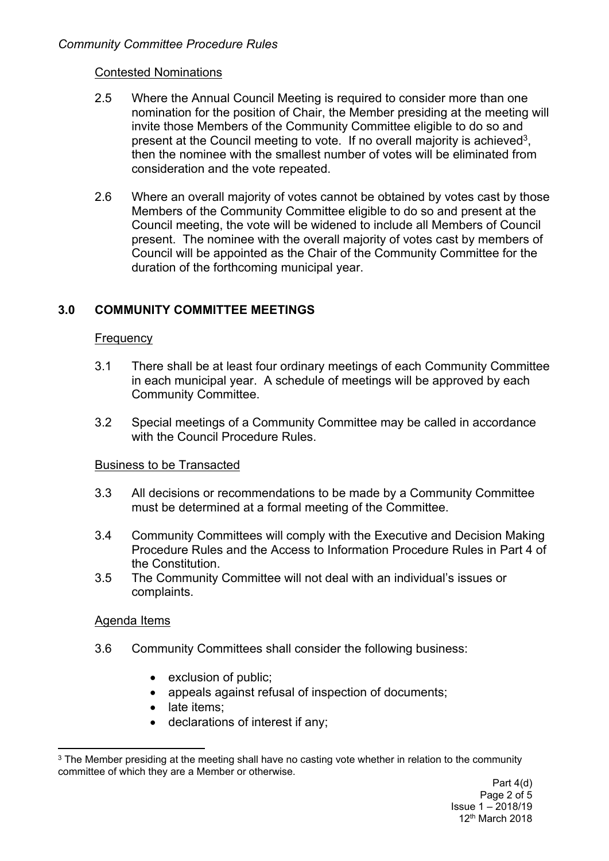### Contested Nominations

- 2.5 Where the Annual Council Meeting is required to consider more than one nomination for the position of Chair, the Member presiding at the meeting will invite those Members of the Community Committee eligible to do so and present at the Council meeting to vote. If no overall majority is achieved<sup>3</sup>, then the nominee with the smallest number of votes will be eliminated from consideration and the vote repeated.
- 2.6 Where an overall majority of votes cannot be obtained by votes cast by those Members of the Community Committee eligible to do so and present at the Council meeting, the vote will be widened to include all Members of Council present. The nominee with the overall majority of votes cast by members of Council will be appointed as the Chair of the Community Committee for the duration of the forthcoming municipal year.

# **3.0 COMMUNITY COMMITTEE MEETINGS**

#### **Frequency**

- 3.1 There shall be at least four ordinary meetings of each Community Committee in each municipal year. A schedule of meetings will be approved by each Community Committee.
- 3.2 Special meetings of a Community Committee may be called in accordance with the Council Procedure Rules.

## Business to be Transacted

- 3.3 All decisions or recommendations to be made by a Community Committee must be determined at a formal meeting of the Committee.
- 3.4 Community Committees will comply with the Executive and Decision Making Procedure Rules and the Access to Information Procedure Rules in Part 4 of the Constitution.
- 3.5 The Community Committee will not deal with an individual's issues or complaints.

#### Agenda Items

- 3.6 Community Committees shall consider the following business:
	- exclusion of public:
	- appeals against refusal of inspection of documents;
	- late items:
	- declarations of interest if any;

<sup>&</sup>lt;sup>3</sup> The Member presiding at the meeting shall have no casting vote whether in relation to the community committee of which they are a Member or otherwise.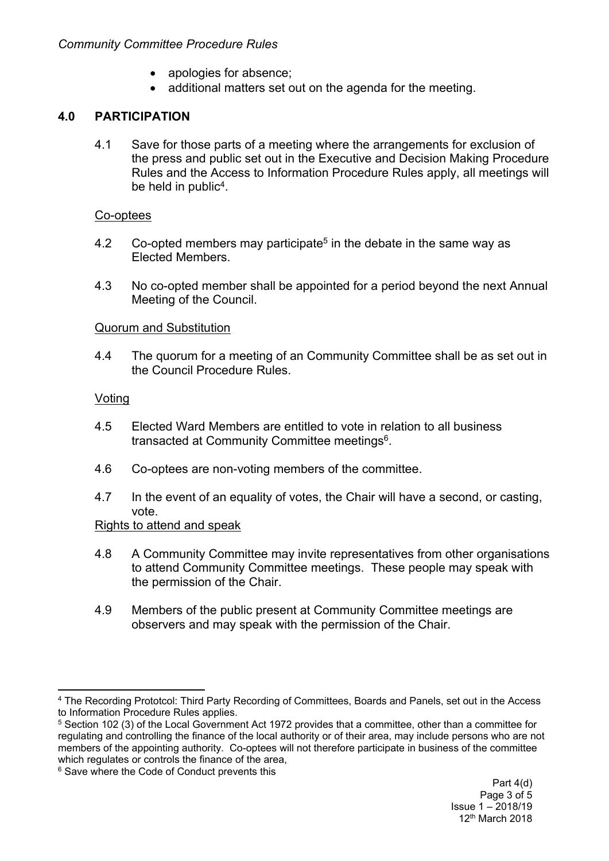- apologies for absence;
- additional matters set out on the agenda for the meeting.

# **4.0 PARTICIPATION**

4.1 Save for those parts of a meeting where the arrangements for exclusion of the press and public set out in the Executive and Decision Making Procedure Rules and the Access to Information Procedure Rules apply, all meetings will be held in public<sup>4</sup>.

#### Co-optees

- 4.2 Co-opted members may participate<sup>5</sup> in the debate in the same way as Elected Members.
- 4.3 No co-opted member shall be appointed for a period beyond the next Annual Meeting of the Council.

#### Quorum and Substitution

4.4 The quorum for a meeting of an Community Committee shall be as set out in the Council Procedure Rules.

#### Voting

- 4.5 Elected Ward Members are entitled to vote in relation to all business transacted at Community Committee meetings<sup>6</sup>.
- 4.6 Co-optees are non-voting members of the committee.
- 4.7 In the event of an equality of votes, the Chair will have a second, or casting, vote.

## Rights to attend and speak

- 4.8 A Community Committee may invite representatives from other organisations to attend Community Committee meetings. These people may speak with the permission of the Chair.
- 4.9 Members of the public present at Community Committee meetings are observers and may speak with the permission of the Chair.

<sup>4</sup> The Recording Prototcol: Third Party Recording of Committees, Boards and Panels, set out in the Access to Information Procedure Rules applies.

<sup>5</sup> Section 102 (3) of the Local Government Act 1972 provides that a committee, other than a committee for regulating and controlling the finance of the local authority or of their area, may include persons who are not members of the appointing authority. Co-optees will not therefore participate in business of the committee which regulates or controls the finance of the area,

<sup>6</sup> Save where the Code of Conduct prevents this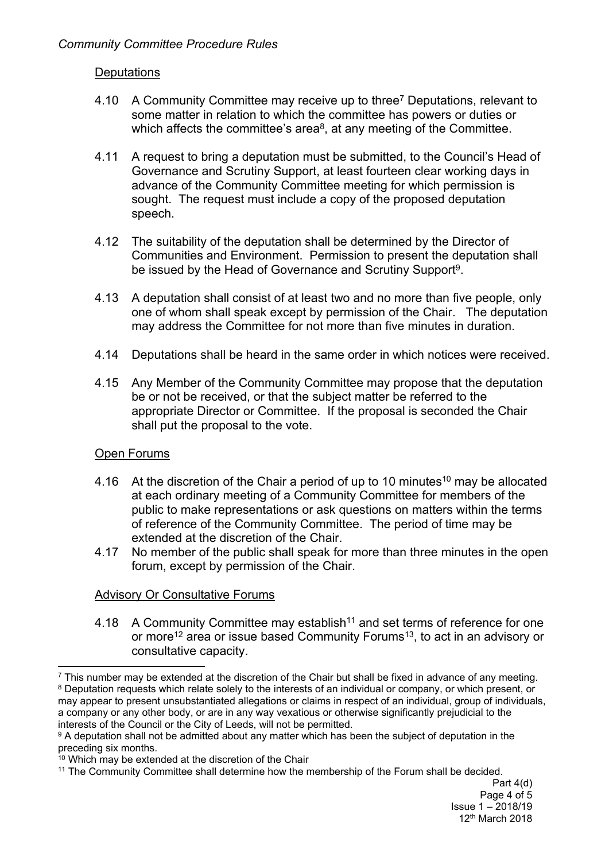## **Deputations**

- 4.10 A Community Committee may receive up to three<sup>7</sup> Deputations, relevant to some matter in relation to which the committee has powers or duties or which affects the committee's area $8$ , at any meeting of the Committee.
- 4.11 A request to bring a deputation must be submitted, to the Council's Head of Governance and Scrutiny Support, at least fourteen clear working days in advance of the Community Committee meeting for which permission is sought. The request must include a copy of the proposed deputation speech.
- 4.12 The suitability of the deputation shall be determined by the Director of Communities and Environment. Permission to present the deputation shall be issued by the Head of Governance and Scrutiny Support<sup>9</sup>.
- 4.13 A deputation shall consist of at least two and no more than five people, only one of whom shall speak except by permission of the Chair. The deputation may address the Committee for not more than five minutes in duration.
- 4.14 Deputations shall be heard in the same order in which notices were received.
- 4.15 Any Member of the Community Committee may propose that the deputation be or not be received, or that the subject matter be referred to the appropriate Director or Committee. If the proposal is seconded the Chair shall put the proposal to the vote.

#### Open Forums

- 4.16 At the discretion of the Chair a period of up to 10 minutes<sup>10</sup> may be allocated at each ordinary meeting of a Community Committee for members of the public to make representations or ask questions on matters within the terms of reference of the Community Committee. The period of time may be extended at the discretion of the Chair.
- 4.17 No member of the public shall speak for more than three minutes in the open forum, except by permission of the Chair.

## Advisory Or Consultative Forums

4.18 A Community Committee may establish<sup>11</sup> and set terms of reference for one or more<sup>12</sup> area or issue based Community Forums<sup>13</sup>, to act in an advisory or consultative capacity.

<sup>8</sup> Deputation requests which relate solely to the interests of an individual or company, or which present, or may appear to present unsubstantiated allegations or claims in respect of an individual, group of individuals, a company or any other body, or are in any way vexatious or otherwise significantly prejudicial to the interests of the Council or the City of Leeds, will not be permitted.

 $<sup>7</sup>$  This number may be extended at the discretion of the Chair but shall be fixed in advance of any meeting.</sup>

<sup>&</sup>lt;sup>9</sup> A deputation shall not be admitted about any matter which has been the subject of deputation in the preceding six months.

 $10$  Which may be extended at the discretion of the Chair

<sup>11</sup> The Community Committee shall determine how the membership of the Forum shall be decided.